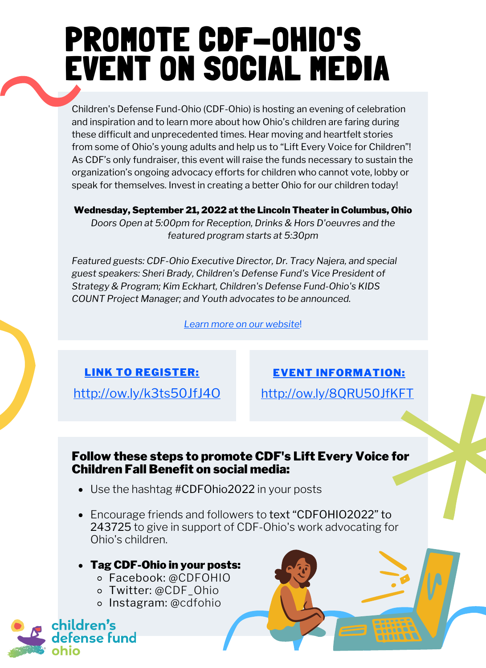## PROMOTE CDF-OHIO'S EVENT ON SOCIAL MEDIA

Children's Defense Fund-Ohio (CDF-Ohio) is hosting an evening of celebration and inspiration and to learn more about how Ohio's children are faring during these difficult and unprecedented times. Hear moving and heartfelt stories from some of Ohio's young adults and help us to "Lift Every Voice for Children"! As CDF's only fundraiser, this event will raise the funds necessary to sustain the organization's ongoing advocacy efforts for children who cannot vote, lobby or speak for themselves. Invest in creating a better Ohio for our children today!

#### Wednesday, September 21, 2022 at the Lincoln Theater in Columbus, Ohio

*Doors Open at 5:00pm for Reception, Drinks & Hors D'oeuvres and the featured program starts at 5:30pm*

*Featured guests: CDF-Ohio Executive Director, Dr. Tracy Najera, and special guest speakers: Sheri Brady, Children's Defense Fund's Vice President of Strategy & Program; Kim Eckhart, Children's Defense Fund-Ohio's KIDS COUNT Project Manager; and Youth advocates to be announced.*

*Learn more on our [website](https://cdfohio.org/lift-every-voice-for-children/)*!

<http://ow.ly/k3ts50JfJ4O> <http://ow.ly/8QRU50JfKFT>

LINK TO [REGISTER:](http://ow.ly/k3ts50JfJ4O) EVENT [INFORMATION:](https://cdfohio.org/lift-every-voice-for-children/)

#### Follow these steps to promote CDF's Lift Every Voice for Children Fall Benefit on social media:

- Use the hashtag #CDFOhio2022 in your posts
- Encourage friends and followers to text "CDFOHIO2022" to 243725 to give in support of CDF-Ohio's work advocating for Ohio's children.

#### Tag CDF-Ohio in your posts:

- Facebook: @CDFOHIO
- Twitter: @CDF\_Ohio
- Instagram: @cdfohio

ldren's

nse fund